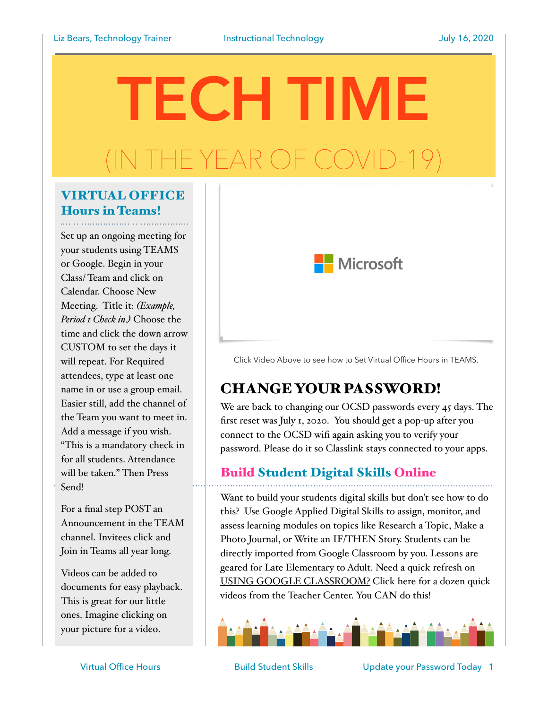# **TECH TIME** THE YEAR OF COV

## VIRTUAL OFFICE Hours in Teams!

Set up an ongoing meeting for your students using TEAMS or Google. Begin in your Class/ Team and click on Calendar. Choose New Meeting. Title it: *(Example, Period 1 Check in.)* Choose the time and click the down arrow CUSTOM to set the days it will repeat. For Required attendees, type at least one name in or use a group email. Easier still, add the channel of the Team you want to meet in. Add a message if you wish. "This is a mandatory check in for all students. Attendance will be taken." Then Press Send!

For a final step POST an Announcement in the TEAM channel. Invitees click and Join in Teams all year long.

Videos can be added to documents for easy playback. This is great for our little ones. Imagine clicking on your picture for a video.



Click Video Above to see how to Set Virtual Office Hours in TEAMS.

## CHANGE YOUR PASSWORD!

We are back to changing our OCSD passwords every 45 days. The first reset was July 1, 2020. You should get a pop-up after you connect to the OCSD wifi again asking you to verify your password. Please do it so Classlink stays connected to your apps.

## Build Student Digital Skills Online

Want to build your students digital skills but don't see how to do this? Use Google Applied Digital Skills to assign, monitor, and assess learning modules on topics like Research a Topic, Make a Photo Journal, or Write an IF/THEN Story. Students can be directly imported from Google Classroom by you. Lessons are geared for Late Elementary to Adult. Need a quick refresh on [USING GOOGLE CLASSROOM?](https://teachercenter.withgoogle.com/first-day-trainings/welcome-to-classroom) Click here for a dozen quick videos from the Teacher Center. You CAN do this!